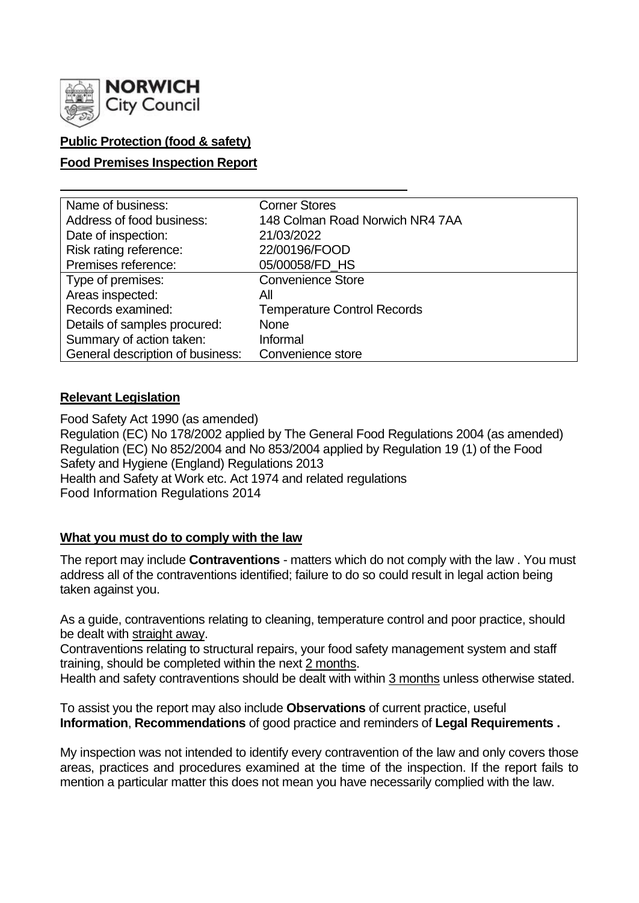

# **Public Protection (food & safety)**

# **Food Premises Inspection Report**

| Name of business:                | <b>Corner Stores</b>               |
|----------------------------------|------------------------------------|
| Address of food business:        | 148 Colman Road Norwich NR4 7AA    |
| Date of inspection:              | 21/03/2022                         |
| Risk rating reference:           | 22/00196/FOOD                      |
| Premises reference:              | 05/00058/FD_HS                     |
| Type of premises:                | <b>Convenience Store</b>           |
| Areas inspected:                 | All                                |
| Records examined:                | <b>Temperature Control Records</b> |
| Details of samples procured:     | <b>None</b>                        |
| Summary of action taken:         | Informal                           |
| General description of business: | Convenience store                  |

# **Relevant Legislation**

Food Safety Act 1990 (as amended) Regulation (EC) No 178/2002 applied by The General Food Regulations 2004 (as amended) Regulation (EC) No 852/2004 and No 853/2004 applied by Regulation 19 (1) of the Food Safety and Hygiene (England) Regulations 2013 Health and Safety at Work etc. Act 1974 and related regulations Food Information Regulations 2014

# **What you must do to comply with the law**

The report may include **Contraventions** - matters which do not comply with the law . You must address all of the contraventions identified; failure to do so could result in legal action being taken against you.

As a guide, contraventions relating to cleaning, temperature control and poor practice, should be dealt with straight away.

Contraventions relating to structural repairs, your food safety management system and staff training, should be completed within the next 2 months.

Health and safety contraventions should be dealt with within 3 months unless otherwise stated.

To assist you the report may also include **Observations** of current practice, useful **Information**, **Recommendations** of good practice and reminders of **Legal Requirements .**

My inspection was not intended to identify every contravention of the law and only covers those areas, practices and procedures examined at the time of the inspection. If the report fails to mention a particular matter this does not mean you have necessarily complied with the law.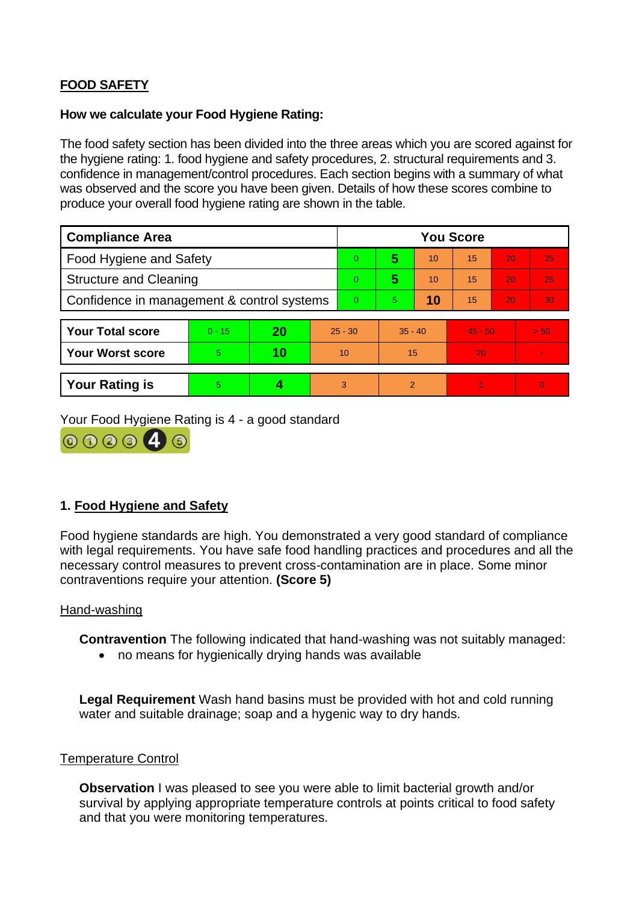# **FOOD SAFETY**

### **How we calculate your Food Hygiene Rating:**

The food safety section has been divided into the three areas which you are scored against for the hygiene rating: 1. food hygiene and safety procedures, 2. structural requirements and 3. confidence in management/control procedures. Each section begins with a summary of what was observed and the score you have been given. Details of how these scores combine to produce your overall food hygiene rating are shown in the table.

| <b>Compliance Area</b>                     |          |    |           | <b>You Score</b> |                |    |           |    |          |  |  |
|--------------------------------------------|----------|----|-----------|------------------|----------------|----|-----------|----|----------|--|--|
| <b>Food Hygiene and Safety</b>             |          |    |           | 0                | 5              | 10 | 15        | 20 | 25       |  |  |
| <b>Structure and Cleaning</b>              |          |    |           | 0                | 5              | 10 | 15        | 20 | 25       |  |  |
| Confidence in management & control systems |          |    |           | 0                | 5.             | 10 | 15        | 20 | 30       |  |  |
|                                            |          |    |           |                  |                |    |           |    |          |  |  |
| <b>Your Total score</b>                    | $0 - 15$ | 20 | $25 - 30$ |                  | $35 - 40$      |    | $45 - 50$ |    | > 50     |  |  |
| <b>Your Worst score</b>                    | 5        | 10 | 10        |                  | 15             |    | 20        |    |          |  |  |
|                                            |          |    |           |                  |                |    |           |    |          |  |  |
| <b>Your Rating is</b>                      | 5        |    |           | 3                | $\overline{2}$ |    |           |    | $\Omega$ |  |  |

Your Food Hygiene Rating is 4 - a good standard



# **1. Food Hygiene and Safety**

Food hygiene standards are high. You demonstrated a very good standard of compliance with legal requirements. You have safe food handling practices and procedures and all the necessary control measures to prevent cross-contamination are in place. Some minor contraventions require your attention. **(Score 5)**

# Hand-washing

**Contravention** The following indicated that hand-washing was not suitably managed:

• no means for hygienically drying hands was available

**Legal Requirement** Wash hand basins must be provided with hot and cold running water and suitable drainage; soap and a hygenic way to dry hands.

# Temperature Control

**Observation** I was pleased to see you were able to limit bacterial growth and/or survival by applying appropriate temperature controls at points critical to food safety and that you were monitoring temperatures.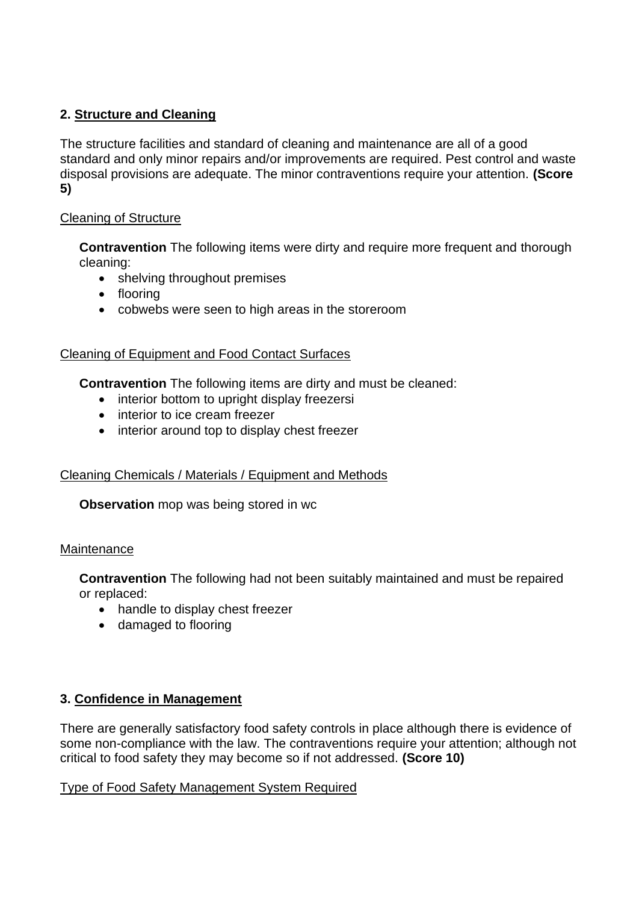# **2. Structure and Cleaning**

The structure facilities and standard of cleaning and maintenance are all of a good standard and only minor repairs and/or improvements are required. Pest control and waste disposal provisions are adequate. The minor contraventions require your attention. **(Score 5)**

# Cleaning of Structure

**Contravention** The following items were dirty and require more frequent and thorough cleaning:

- shelving throughout premises
- flooring
- cobwebs were seen to high areas in the storeroom

# Cleaning of Equipment and Food Contact Surfaces

**Contravention** The following items are dirty and must be cleaned:

- interior bottom to upright display freezersi
- interior to ice cream freezer
- interior around top to display chest freezer

# Cleaning Chemicals / Materials / Equipment and Methods

**Observation** mop was being stored in wc

# **Maintenance**

**Contravention** The following had not been suitably maintained and must be repaired or replaced:

- handle to display chest freezer
- damaged to flooring

# **3. Confidence in Management**

There are generally satisfactory food safety controls in place although there is evidence of some non-compliance with the law. The contraventions require your attention; although not critical to food safety they may become so if not addressed. **(Score 10)**

# Type of Food Safety Management System Required